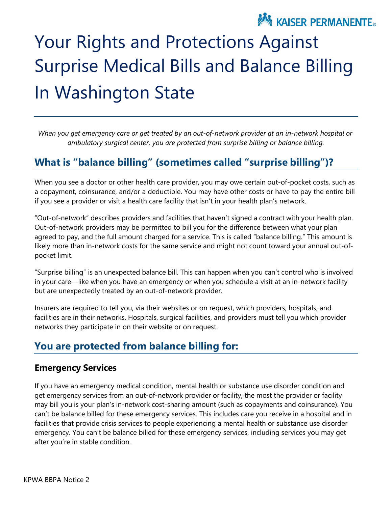

# Surprise Medical Bills and Balance Billing Your Rights and Protections Against In Washington State

 *When you get emergency care or get treated by an out-of-network provider at an in-network hospital or ambulatory surgical center, you are protected from surprise billing or balance billing.* 

# **What is "balance billing" (sometimes called "surprise billing")?**

 When you see a doctor or other health care provider, you may owe certain out-of-pocket costs, such as a copayment, coinsurance, and/or a deductible. You may have other costs or have to pay the entire bill if you see a provider or visit a health care facility that isn't in your health plan's network.

 "Out-of-network" describes providers and facilities that haven't signed a contract with your health plan. likely more than in-network costs for the same service and might not count toward your annual out-of-Out-of-network providers may be permitted to bill you for the difference between what your plan agreed to pay, and the full amount charged for a service. This is called "balance billing." This amount is pocket limit.

 "Surprise billing" is an unexpected balance bill. This can happen when you can't control who is involved in your care—like when you have an emergency or when you schedule a visit at an in-network facility but are unexpectedly treated by an out-of-network provider.

 facilities are in their networks. Hospitals, surgical facilities, and providers must tell you which provider Insurers are required to tell you, via their websites or on request, which providers, hospitals, and networks they participate in on their website or on request.

# **You are protected from balance billing for:**

#### **Emergency Services**

 get emergency services from an out-of-network provider or facility, the most the provider or facility may bill you is your plan's in-network cost-sharing amount (such as copayments and coinsurance). You If you have an emergency medical condition, mental health or substance use disorder condition and can't be balance billed for these emergency services. This includes care you receive in a hospital and in facilities that provide crisis services to people experiencing a mental health or substance use disorder emergency. You can't be balance billed for these emergency services, including services you may get after you're in stable condition.